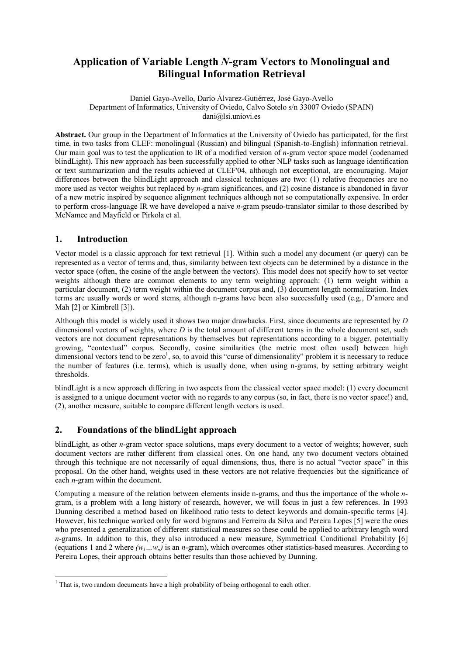# **Application of Variable Length** *N***-gram Vectors to Monolingual and Bilingual Information Retrieval**

Daniel Gayo-Avello, Darío Álvarez-Gutiérrez, José Gayo-Avello Department of Informatics, University of Oviedo, Calvo Sotelo s/n 33007 Oviedo (SPAIN) dani@lsi.uniovi.es

**Abstract.** Our group in the Department of Informatics at the University of Oviedo has participated, for the first time, in two tasks from CLEF: monolingual (Russian) and bilingual (Spanish-to-English) information retrieval. Our main goal was to test the application to IR of a modified version of *n*-gram vector space model (codenamed blindLight). This new approach has been successfully applied to other NLP tasks such as language identification or text summarization and the results achieved at CLEF'04, although not exceptional, are encouraging. Major differences between the blindLight approach and classical techniques are two: (1) relative frequencies are no more used as vector weights but replaced by *n*-gram significances, and (2) cosine distance is abandoned in favor of a new metric inspired by sequence alignment techniques although not so computationally expensive. In order to perform cross-language IR we have developed a naive *n*-gram pseudo-translator similar to those described by McNamee and Mayfield or Pirkola et al.

# **1. Introduction**

Vector model is a classic approach for text retrieval [1]. Within such a model any document (or query) can be represented as a vector of terms and, thus, similarity between text objects can be determined by a distance in the vector space (often, the cosine of the angle between the vectors). This model does not specify how to set vector weights although there are common elements to any term weighting approach: (1) term weight within a particular document, (2) term weight within the document corpus and, (3) document length normalization. Index terms are usually words or word stems, although n-grams have been also successfully used (e.g., D'amore and Mah [2] or Kimbrell [3]).

Although this model is widely used it shows two major drawbacks. First, since documents are represented by *D* dimensional vectors of weights, where *D* is the total amount of different terms in the whole document set, such vectors are not document representations by themselves but representations according to a bigger, potentially growing, "contextual" corpus. Secondly, cosine similarities (the metric most often used) between high dimensional vectors tend to be zero<sup>1</sup>, so, to avoid this "curse of dimensionality" problem it is necessary to reduce the number of features (i.e. terms), which is usually done, when using n-grams, by setting arbitrary weight thresholds.

blindLight is a new approach differing in two aspects from the classical vector space model: (1) every document is assigned to a unique document vector with no regards to any corpus (so, in fact, there is no vector space!) and, (2), another measure, suitable to compare different length vectors is used.

# **2. Foundations of the blindLight approach**

blindLight, as other *n*-gram vector space solutions, maps every document to a vector of weights; however, such document vectors are rather different from classical ones. On one hand, any two document vectors obtained through this technique are not necessarily of equal dimensions, thus, there is no actual "vector space" in this proposal. On the other hand, weights used in these vectors are not relative frequencies but the significance of each *n*-gram within the document.

Computing a measure of the relation between elements inside n-grams, and thus the importance of the whole *n*gram, is a problem with a long history of research, however, we will focus in just a few references. In 1993 Dunning described a method based on likelihood ratio tests to detect keywords and domain-specific terms [4]. However, his technique worked only for word bigrams and Ferreira da Silva and Pereira Lopes [5] were the ones who presented a generalization of different statistical measures so these could be applied to arbitrary length word *n*-grams. In addition to this, they also introduced a new measure, Symmetrical Conditional Probability [6] (equations 1 and 2 where  $(w_1...w_n)$  is an *n*-gram), which overcomes other statistics-based measures. According to Pereira Lopes, their approach obtains better results than those achieved by Dunning.

 $\overline{a}$  $<sup>1</sup>$  That is, two random documents have a high probability of being orthogonal to each other.</sup>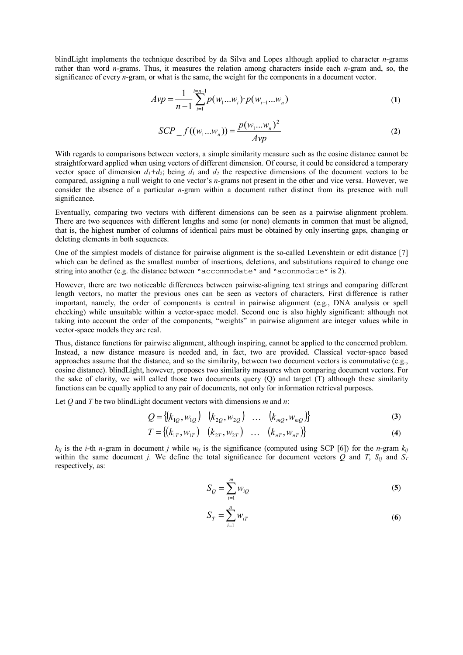blindLight implements the technique described by da Silva and Lopes although applied to character *n*-grams rather than word *n*-grams. Thus, it measures the relation among characters inside each *n*-gram and, so, the significance of every *n*-gram, or what is the same, the weight for the components in a document vector.

$$
Avp = \frac{1}{n-1} \sum_{i=1}^{i=n-1} p(w_1...w_i) \cdot p(w_{i+1}...w_n)
$$
 (1)

$$
SCP_{-}f((w_{1}...w_{n})) = \frac{p(w_{1}...w_{n})^{2}}{Avp}
$$
 (2)

With regards to comparisons between vectors, a simple similarity measure such as the cosine distance cannot be straightforward applied when using vectors of different dimension. Of course, it could be considered a temporary vector space of dimension  $d_1+d_2$ ; being  $d_1$  and  $d_2$  the respective dimensions of the document vectors to be compared, assigning a null weight to one vector's *n*-grams not present in the other and vice versa. However, we consider the absence of a particular *n*-gram within a document rather distinct from its presence with null significance.

Eventually, comparing two vectors with different dimensions can be seen as a pairwise alignment problem. There are two sequences with different lengths and some (or none) elements in common that must be aligned, that is, the highest number of columns of identical pairs must be obtained by only inserting gaps, changing or deleting elements in both sequences.

One of the simplest models of distance for pairwise alignment is the so-called Levenshtein or edit distance [7] which can be defined as the smallest number of insertions, deletions, and substitutions required to change one string into another (e.g. the distance between "accommodate" and "aconmodate" is 2).

However, there are two noticeable differences between pairwise-aligning text strings and comparing different length vectors, no matter the previous ones can be seen as vectors of characters. First difference is rather important, namely, the order of components is central in pairwise alignment (e.g., DNA analysis or spell checking) while unsuitable within a vector-space model. Second one is also highly significant: although not taking into account the order of the components, "weights" in pairwise alignment are integer values while in vector-space models they are real.

Thus, distance functions for pairwise alignment, although inspiring, cannot be applied to the concerned problem. Instead, a new distance measure is needed and, in fact, two are provided. Classical vector-space based approaches assume that the distance, and so the similarity, between two document vectors is commutative (e.g., cosine distance). blindLight, however, proposes two similarity measures when comparing document vectors. For the sake of clarity, we will called those two documents query  $(Q)$  and target  $(T)$  although these similarity functions can be equally applied to any pair of documents, not only for information retrieval purposes.

Let *Q* and *T* be two blindLight document vectors with dimensions *m* and *n*:

$$
Q = \{(k_{1Q}, w_{1Q}) \ (k_{2Q}, w_{2Q}) \ \dots \ (k_{mQ}, w_{mQ})\}
$$
 (3)

$$
T = \{(k_{1T}, w_{1T}) \quad (k_{2T}, w_{2T}) \quad \dots \quad (k_{nT}, w_{nT})\}
$$
 (4)

 $k_{ij}$  is the *i*-th *n*-gram in document *j* while  $w_{ij}$  is the significance (computed using SCP [6]) for the *n*-gram  $k_{ij}$ within the same document *j*. We define the total significance for document vectors  $\overline{Q}$  and  $\overline{T}$ ,  $S_Q$  and  $S_T$ respectively, as:

$$
S_Q = \sum_{i=1}^{m} w_{iQ} \tag{5}
$$

$$
S_T = \sum_{i=1}^n w_{iT} \tag{6}
$$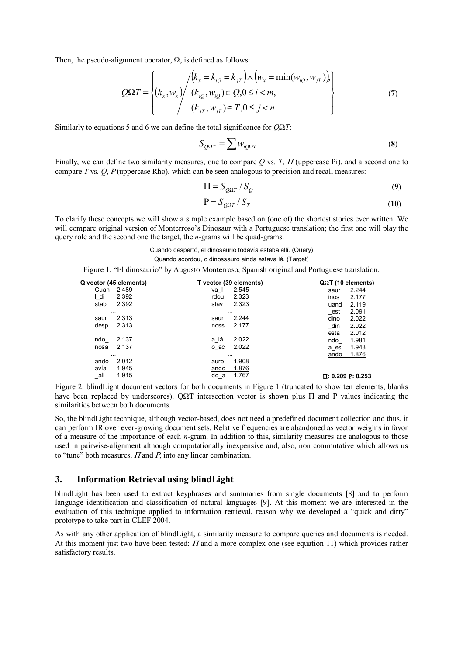Then, the pseudo-alignment operator,  $\Omega$ , is defined as follows:

$$
Q\Omega T = \begin{cases} (k_x, w_x) / (k_x = k_{iQ} = k_{jT}) \wedge (w_x = \min(w_{iQ}, w_{jT})) \\ (k_x, w_x) / (k_{iQ}, w_{iQ}) \in Q, 0 \le i < m, \\ (k_{jT}, w_{jT}) \in T, 0 \le j < n \end{cases} \tag{7}
$$

Similarly to equations 5 and 6 we can define the total significance for *Q*Ω*T*:

$$
S_{Q\Omega T} = \sum w_{iQ\Omega T} \tag{8}
$$

Finally, we can define two similarity measures, one to compare Q vs. *T*,  $\Pi$  (uppercase Pi), and a second one to compare *T* vs. *Q*, Ρ (uppercase Rho), which can be seen analogous to precision and recall measures:

$$
\Pi = S_{Q\Omega T} / S_Q \tag{9}
$$

$$
P = S_{Q\Omega T} / S_T \tag{10}
$$

To clarify these concepts we will show a simple example based on (one of) the shortest stories ever written. We will compare original version of Monterroso's Dinosaur with a Portuguese translation; the first one will play the query role and the second one the target, the *n*-grams will be quad-grams.

> Cuando despertó, el dinosaurio todavía estaba allí. (Query) Quando acordou, o dinossauro ainda estava lá. (Target)

Figure 1. "El dinosaurio" by Augusto Monterroso, Spanish original and Portuguese translation.

|          | Q vector (45 elements) |      | T vector (39 elements) |      | $Q\Omega T$ (10 elements) |
|----------|------------------------|------|------------------------|------|---------------------------|
| Cuan     | 2.489                  | va I | 2.545                  | saur | 2.244                     |
| l_di     | 2.392                  | rdou | 2.323                  | inos | 2.177                     |
| stab     | 2.392                  | stav | 2.323                  | uand | 2.119                     |
| $\cdots$ |                        |      | $\cdots$               | _est | 2.091                     |
| saur     | 2.313                  | saur | 2.244                  | dino | 2.022                     |
| desp     | 2.313                  | noss | 2.177                  | din  | 2.022                     |
| $\cdots$ |                        |      | $\cdots$               | esta | 2.012                     |
| ndo      | 2.137                  | a lá | 2.022                  | ndo  | 1.981                     |
| nosa     | 2.137                  | o ac | 2.022                  | a es | 1.943                     |
| $\cdots$ |                        |      | $\cdots$               | ando | 1.876                     |
| ando     | 2.012                  | auro | 1.908                  |      |                           |
| avía     | 1.945                  | ando | 1.876                  |      |                           |
| _all     | 1.915                  | do a | 1.767                  |      | $\Pi: 0.209$ P: 0.253     |

Figure 2. blindLight document vectors for both documents in Figure 1 (truncated to show ten elements, blanks have been replaced by underscores). OΩT intersection vector is shown plus  $\Pi$  and P values indicating the similarities between both documents.

So, the blindLight technique, although vector-based, does not need a predefined document collection and thus, it can perform IR over ever-growing document sets. Relative frequencies are abandoned as vector weights in favor of a measure of the importance of each *n*-gram. In addition to this, similarity measures are analogous to those used in pairwise-alignment although computationally inexpensive and, also, non commutative which allows us to "tune" both measures,  $\Pi$  and  $P$ , into any linear combination.

#### **3. Information Retrieval using blindLight**

blindLight has been used to extract keyphrases and summaries from single documents [8] and to perform language identification and classification of natural languages [9]. At this moment we are interested in the evaluation of this technique applied to information retrieval, reason why we developed a "quick and dirty" prototype to take part in CLEF 2004.

As with any other application of blindLight, a similarity measure to compare queries and documents is needed. At this moment just two have been tested:  $\Pi$  and a more complex one (see equation 11) which provides rather satisfactory results.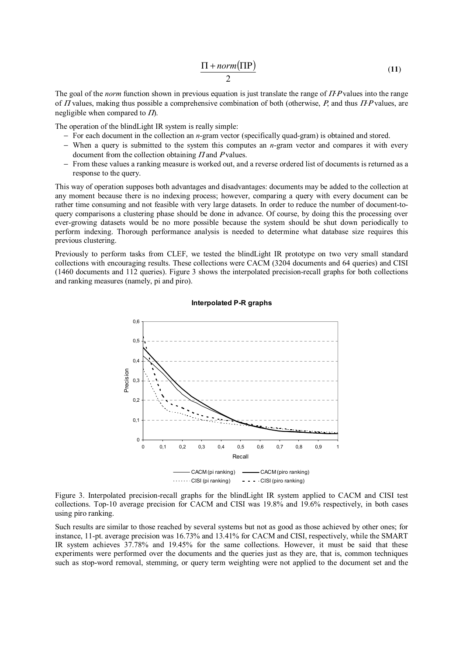$$
\frac{\Pi + norm(\Pi P)}{2} \tag{11}
$$

The goal of the *norm* function shown in previous equation is just translate the range of Π*·*Ρ values into the range of Π values, making thus possible a comprehensive combination of both (otherwise, Ρ, and thus Π*·*Ρ values, are negligible when compared to  $\Pi$ .

The operation of the blindLight IR system is really simple:

- − For each document in the collection an *n*-gram vector (specifically quad-gram) is obtained and stored.
- − When a query is submitted to the system this computes an *n*-gram vector and compares it with every document from the collection obtaining  $\Pi$  and P values.
- − From these values a ranking measure is worked out, and a reverse ordered list of documents is returned as a response to the query.

This way of operation supposes both advantages and disadvantages: documents may be added to the collection at any moment because there is no indexing process; however, comparing a query with every document can be rather time consuming and not feasible with very large datasets. In order to reduce the number of document-toquery comparisons a clustering phase should be done in advance. Of course, by doing this the processing over ever-growing datasets would be no more possible because the system should be shut down periodically to perform indexing. Thorough performance analysis is needed to determine what database size requires this previous clustering.

Previously to perform tasks from CLEF, we tested the blindLight IR prototype on two very small standard collections with encouraging results. These collections were CACM (3204 documents and 64 queries) and CISI (1460 documents and 112 queries). Figure 3 shows the interpolated precision-recall graphs for both collections and ranking measures (namely, pi and piro).





Figure 3. Interpolated precision-recall graphs for the blindLight IR system applied to CACM and CISI test collections. Top-10 average precision for CACM and CISI was 19.8% and 19.6% respectively, in both cases using piro ranking.

Such results are similar to those reached by several systems but not as good as those achieved by other ones; for instance, 11-pt. average precision was 16.73% and 13.41% for CACM and CISI, respectively, while the SMART IR system achieves 37.78% and 19.45% for the same collections. However, it must be said that these experiments were performed over the documents and the queries just as they are, that is, common techniques such as stop-word removal, stemming, or query term weighting were not applied to the document set and the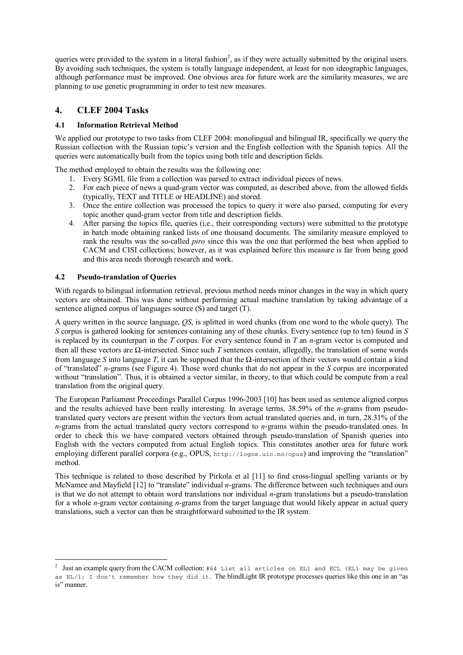queries were provided to the system in a literal fashion<sup>2</sup>, as if they were actually submitted by the original users. By avoiding such techniques, the system is totally language independent, at least for non ideographic languages, although performance must be improved. One obvious area for future work are the similarity measures, we are planning to use genetic programming in order to test new measures.

# **4. CLEF 2004 Tasks**

### **4.1 Information Retrieval Method**

We applied our prototype to two tasks from CLEF 2004: monolingual and bilingual IR, specifically we query the Russian collection with the Russian topic's version and the English collection with the Spanish topics. All the queries were automatically built from the topics using both title and description fields.

The method employed to obtain the results was the following one:

- 1. Every SGML file from a collection was parsed to extract individual pieces of news.
- 2. For each piece of news a quad-gram vector was computed, as described above, from the allowed fields (typically, TEXT and TITLE or HEADLINE) and stored.
- 3. Once the entire collection was processed the topics to query it were also parsed, computing for every topic another quad-gram vector from title and description fields.
- 4. After parsing the topics file, queries (i.e., their corresponding vectors) were submitted to the prototype in batch mode obtaining ranked lists of one thousand documents. The similarity measure employed to rank the results was the so-called *piro* since this was the one that performed the best when applied to CACM and CISI collections; however, as it was explained before this measure is far from being good and this area needs thorough research and work.

### **4.2 Pseudo-translation of Queries**

 $\overline{a}$ 

With regards to bilingual information retrieval, previous method needs minor changes in the way in which query vectors are obtained. This was done without performing actual machine translation by taking advantage of a sentence aligned corpus of languages source (S) and target (T).

A query written in the source language, *QS*, is splitted in word chunks (from one word to the whole query). The *S* corpus is gathered looking for sentences containing any of these chunks. Every sentence (up to ten) found in *S* is replaced by its counterpart in the *T* corpus. For every sentence found in *T* an *n*-gram vector is computed and then all these vectors are Ω-intersected. Since such *T* sentences contain, allegedly, the translation of some words from language *S* into language *T*, it can be supposed that the Ω-intersection of their vectors would contain a kind of "translated" *n*-grams (see Figure 4). Those word chunks that do not appear in the *S* corpus are incorporated without "translation". Thus, it is obtained a vector similar, in theory, to that which could be compute from a real translation from the original query.

The European Parliament Proceedings Parallel Corpus 1996-2003 [10] has been used as sentence aligned corpus and the results achieved have been really interesting. In average terms, 38.59% of the *n*-grams from pseudotranslated query vectors are present within the vectors from actual translated queries and, in turn, 28.31% of the *n*-grams from the actual translated query vectors correspond to *n*-grams within the pseudo-translated ones. In order to check this we have compared vectors obtained through pseudo-translation of Spanish queries into English with the vectors computed from actual English topics. This constitutes another area for future work employing different parallel corpora (e.g., OPUS, http://logos.uio.no/opus) and improving the "translation" method.

This technique is related to those described by Pirkola et al [11] to find cross-lingual spelling variants or by McNamee and Mayfield [12] to "translate" individual *n*-grams. The difference between such techniques and ours is that we do not attempt to obtain word translations nor individual *n*-gram translations but a pseudo-translation for a whole *n*-gram vector containing *n*-grams from the target language that would likely appear in actual query translations, such a vector can then be straightforward submitted to the IR system.

<sup>&</sup>lt;sup>2</sup> Just an example query from the CACM collection: #64 List all articles on EL1 and ECL (EL1 may be given as EL/1; I don't remember how they did it. The blindLight IR prototype processes queries like this one in an "as is" manner.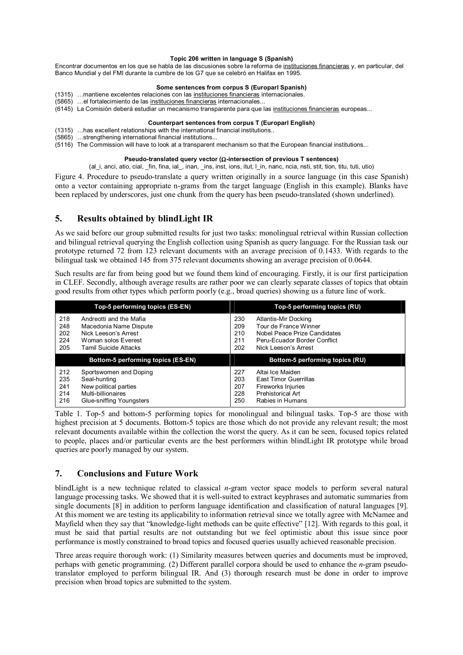#### **Topic 206 written in language S (Spanish)**

Encontrar documentos en los que se habla de las discusiones sobre la reforma de instituciones financieras y, en particular, del Banco Mundial y del FMI durante la cumbre de los G7 que se celebró en Halifax en 1995.

#### **Some sentences from corpus S (Europarl Spanish)**

- (1315) …mantiene excelentes relaciones con las instituciones financieras internacionales.
- (5865) …el fortalecimiento de las instituciones financieras internacionales...
- (6145) La Comisión deberá estudiar un mecanismo transparente para que las instituciones financieras europeas...

#### **Counterpart sentences from corpus T (Europarl English)**

- (1315) …has excellent relationships with the international financial institutions..
- (5865) …strengthening international financial institutions...
- (5116) The Commission will have to look at a transparent mechanism so that the European financial institutions...

#### **Pseudo-translated query vector (**Ω**-intersection of previous T sentences)**

(al\_i, anci, atio, cial, \_fin, fina, ial\_, inan, \_ins, inst, ions, itut, l\_in, nanc, ncia, nsti, stit, tion, titu, tuti, utio)

Figure 4. Procedure to pseudo-translate a query written originally in a source language (in this case Spanish) onto a vector containing appropriate n-grams from the target language (English in this example). Blanks have been replaced by underscores, just one chunk from the query has been pseudo-translated (shown underlined).

# **5. Results obtained by blindLight IR**

As we said before our group submitted results for just two tasks: monolingual retrieval within Russian collection and bilingual retrieval querying the English collection using Spanish as query language. For the Russian task our prototype returned 72 from 123 relevant documents with an average precision of 0.1433. With regards to the bilingual task we obtained 145 from 375 relevant documents showing an average precision of 0.0644.

Such results are far from being good but we found them kind of encouraging. Firstly, it is our first participation in CLEF. Secondly, although average results are rather poor we can clearly separate classes of topics that obtain good results from other types which perform poorly (e.g., broad queries) showing us a future line of work.

|                                 | Top-5 performing topics (ES-EN)                                                                                           | Top-5 performing topics (RU)                                                                                                                                             |
|---------------------------------|---------------------------------------------------------------------------------------------------------------------------|--------------------------------------------------------------------------------------------------------------------------------------------------------------------------|
| 218<br>248<br>202<br>224<br>205 | Andreotti and the Mafia<br>Macedonia Name Dispute<br>Nick Leeson's Arrest<br>Woman solos Everest<br>Tamil Suicide Attacks | 230<br>Atlantis-Mir Docking<br>Tour de France Winner<br>209<br>210<br>Nobel Peace Prize Candidates<br>211<br>Peru-Ecuador Border Conflict<br>202<br>Nick Leeson's Arrest |
|                                 |                                                                                                                           |                                                                                                                                                                          |
|                                 | Bottom-5 performing topics (ES-EN)                                                                                        | Bottom-5 performing topics (RU)                                                                                                                                          |

Table 1. Top-5 and bottom-5 performing topics for monolingual and bilingual tasks. Top-5 are those with highest precision at 5 documents. Bottom-5 topics are those which do not provide any relevant result; the most relevant documents available within the collection the worst the query. As it can be seen, focused topics related to people, places and/or particular events are the best performers within blindLight IR prototype while broad queries are poorly managed by our system.

# **7. Conclusions and Future Work**

blindLight is a new technique related to classical *n*-gram vector space models to perform several natural language processing tasks. We showed that it is well-suited to extract keyphrases and automatic summaries from single documents [8] in addition to perform language identification and classification of natural languages [9]. At this moment we are testing its applicability to information retrieval since we totally agree with McNamee and Mayfield when they say that "knowledge-light methods can be quite effective" [12]. With regards to this goal, it must be said that partial results are not outstanding but we feel optimistic about this issue since poor performance is mostly constrained to broad topics and focused queries usually achieved reasonable precision.

Three areas require thorough work: (1) Similarity measures between queries and documents must be improved, perhaps with genetic programming. (2) Different parallel corpora should be used to enhance the *n*-gram pseudotranslator employed to perform bilingual IR. And (3) thorough research must be done in order to improve precision when broad topics are submitted to the system.